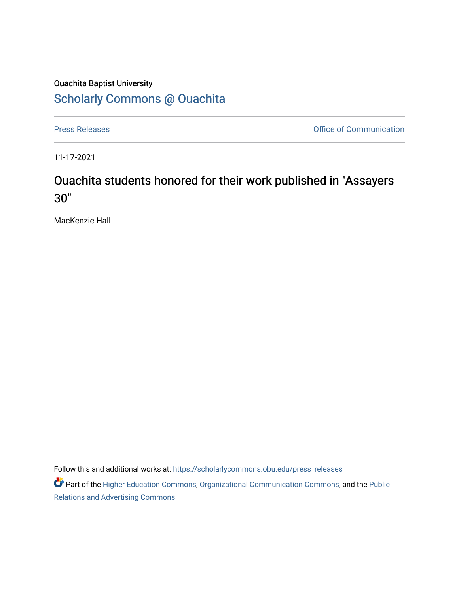## Ouachita Baptist University [Scholarly Commons @ Ouachita](https://scholarlycommons.obu.edu/)

[Press Releases](https://scholarlycommons.obu.edu/press_releases) **Press Releases Communication** 

11-17-2021

## Ouachita students honored for their work published in "Assayers 30"

MacKenzie Hall

Follow this and additional works at: [https://scholarlycommons.obu.edu/press\\_releases](https://scholarlycommons.obu.edu/press_releases?utm_source=scholarlycommons.obu.edu%2Fpress_releases%2F907&utm_medium=PDF&utm_campaign=PDFCoverPages)

Part of the [Higher Education Commons,](http://network.bepress.com/hgg/discipline/1245?utm_source=scholarlycommons.obu.edu%2Fpress_releases%2F907&utm_medium=PDF&utm_campaign=PDFCoverPages) [Organizational Communication Commons,](http://network.bepress.com/hgg/discipline/335?utm_source=scholarlycommons.obu.edu%2Fpress_releases%2F907&utm_medium=PDF&utm_campaign=PDFCoverPages) and the [Public](http://network.bepress.com/hgg/discipline/336?utm_source=scholarlycommons.obu.edu%2Fpress_releases%2F907&utm_medium=PDF&utm_campaign=PDFCoverPages) [Relations and Advertising Commons](http://network.bepress.com/hgg/discipline/336?utm_source=scholarlycommons.obu.edu%2Fpress_releases%2F907&utm_medium=PDF&utm_campaign=PDFCoverPages)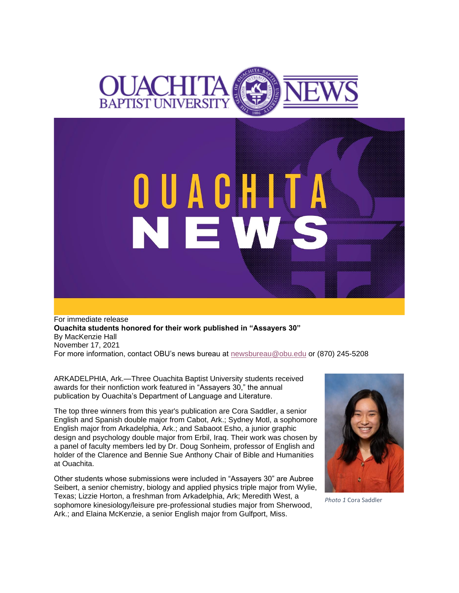

OUACHIT

N E W

For immediate release **Ouachita students honored for their work published in "Assayers 30"** By MacKenzie Hall November 17, 2021 For more information, contact OBU's news bureau at [newsbureau@obu.edu](mailto:newsbureau@obu.edu) or (870) 245-5208

ARKADELPHIA, Ark.—Three Ouachita Baptist University students received awards for their nonfiction work featured in "Assayers 30," the annual publication by Ouachita's Department of Language and Literature.

The top three winners from this year's publication are Cora Saddler, a senior English and Spanish double major from Cabot, Ark.; Sydney Motl, a sophomore English major from Arkadelphia, Ark.; and Sabaoot Esho, a junior graphic design and psychology double major from Erbil, Iraq. Their work was chosen by a panel of faculty members led by Dr. Doug Sonheim, professor of English and holder of the Clarence and Bennie Sue Anthony Chair of Bible and Humanities at Ouachita.

Other students whose submissions were included in "Assayers 30" are Aubree Seibert, a senior chemistry, biology and applied physics triple major from Wylie, Texas; Lizzie Horton, a freshman from Arkadelphia, Ark; Meredith West, a sophomore kinesiology/leisure pre-professional studies major from Sherwood, Ark.; and Elaina McKenzie, a senior English major from Gulfport, Miss.



*Photo 1* Cora Saddler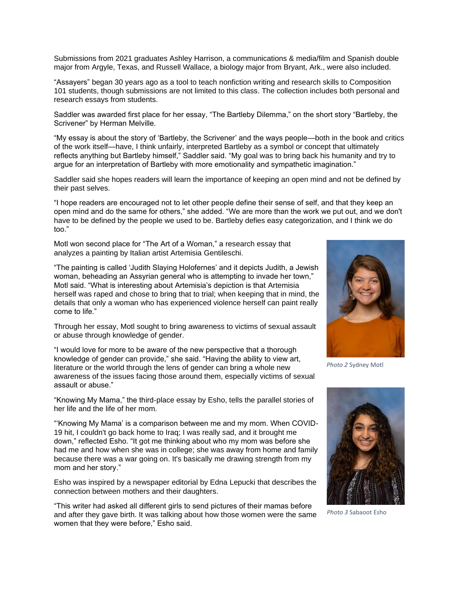Submissions from 2021 graduates Ashley Harrison, a communications & media/film and Spanish double major from Argyle, Texas, and Russell Wallace, a biology major from Bryant, Ark., were also included.

"Assayers" began 30 years ago as a tool to teach nonfiction writing and research skills to Composition 101 students, though submissions are not limited to this class. The collection includes both personal and research essays from students.

Saddler was awarded first place for her essay, "The Bartleby Dilemma," on the short story "Bartleby, the Scrivener" by Herman Melville.

"My essay is about the story of 'Bartleby, the Scrivener' and the ways people—both in the book and critics of the work itself—have, I think unfairly, interpreted Bartleby as a symbol or concept that ultimately reflects anything but Bartleby himself," Saddler said. "My goal was to bring back his humanity and try to argue for an interpretation of Bartleby with more emotionality and sympathetic imagination."

Saddler said she hopes readers will learn the importance of keeping an open mind and not be defined by their past selves.

"I hope readers are encouraged not to let other people define their sense of self, and that they keep an open mind and do the same for others," she added. "We are more than the work we put out, and we don't have to be defined by the people we used to be. Bartleby defies easy categorization, and I think we do too."

Motl won second place for "The Art of a Woman," a research essay that analyzes a painting by Italian artist Artemisia Gentileschi.

"The painting is called 'Judith Slaying Holofernes' and it depicts Judith, a Jewish woman, beheading an Assyrian general who is attempting to invade her town," Motl said. "What is interesting about Artemisia's depiction is that Artemisia herself was raped and chose to bring that to trial; when keeping that in mind, the details that only a woman who has experienced violence herself can paint really come to life."

Through her essay, Motl sought to bring awareness to victims of sexual assault or abuse through knowledge of gender.

"I would love for more to be aware of the new perspective that a thorough knowledge of gender can provide," she said. "Having the ability to view art, literature or the world through the lens of gender can bring a whole new awareness of the issues facing those around them, especially victims of sexual assault or abuse."

"Knowing My Mama," the third-place essay by Esho, tells the parallel stories of her life and the life of her mom.

"'Knowing My Mama' is a comparison between me and my mom. When COVID-19 hit, I couldn't go back home to Iraq; I was really sad, and it brought me down," reflected Esho. "It got me thinking about who my mom was before she had me and how when she was in college; she was away from home and family because there was a war going on. It's basically me drawing strength from my mom and her story."

Esho was inspired by a newspaper editorial by Edna Lepucki that describes the connection between mothers and their daughters.

"This writer had asked all different girls to send pictures of their mamas before and after they gave birth. It was talking about how those women were the same women that they were before," Esho said.



*Photo 2* Sydney Motl



*Photo 3* Sabaoot Esho